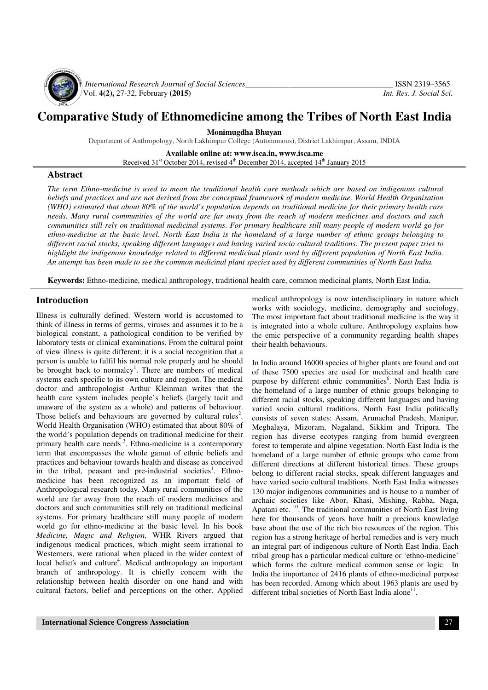

*International Research Journal of Social Sciences*<br>Vol. 4(2), 27-32, February (2015)<br>Vol. 4(2), 27-32, February (2015) Vol. **4(2),** 27-32, February **(2015)** *Int. Res. J. Social Sci.*

# **Comparative Study of Ethnomedicine among the Tribes of North East India**

**Monimugdha Bhuyan** 

Department of Anthropology, North Lakhimpur College (Autonomous), District Lakhimpur, Assam, INDIA

**Available online at: www.isca.in, www.isca.me**  Received 31<sup>st</sup> October 2014, revised 4<sup>th</sup> December 2014, accepted 14<sup>th</sup> January 2015

#### **Abstract**

*The term Ethno-medicine is used to mean the traditional health care methods which are based on indigenous cultural beliefs and practices and are not derived from the conceptual framework of modern medicine. World Health Organisation (WHO) estimated that about 80% of the world's population depends on traditional medicine for their primary health care needs. Many rural communities of the world are far away from the reach of modern medicines and doctors and such communities still rely on traditional medicinal systems. For primary healthcare still many people of modern world go for ethno-medicine at the basic level. North East India is the homeland of a large number of ethnic groups belonging to different racial stocks, speaking different languages and having varied socio cultural traditions. The present paper tries to highlight the indigenous knowledge related to different medicinal plants used by different population of North East India. An attempt has been made to see the common medicinal plant species used by different communities of North East India.* 

**Keywords:** Ethno-medicine, medical anthropology, traditional health care, common medicinal plants, North East India.

#### **Introduction**

Illness is culturally defined. Western world is accustomed to think of illness in terms of germs, viruses and assumes it to be a biological constant, a pathological condition to be verified by laboratory tests or clinical examinations. From the cultural point of view illness is quite different; it is a social recognition that a person is unable to fulfil his normal role properly and he should be brought back to normalcy<sup>1</sup>. There are numbers of medical systems each specific to its own culture and region. The medical doctor and anthropologist Arthur Kleinman writes that the health care system includes people's beliefs (largely tacit and unaware of the system as a whole) and patterns of behaviour. Those beliefs and behaviours are governed by cultural rules<sup>2</sup>. World Health Organisation (WHO) estimated that about 80% of the world's population depends on traditional medicine for their primary health care needs  $3$ . Ethno-medicine is a contemporary term that encompasses the whole gamut of ethnic beliefs and practices and behaviour towards health and disease as conceived in the tribal, peasant and pre-industrial societies<sup>1</sup>. Ethnomedicine has been recognized as an important field of Anthropological research today. Many rural communities of the world are far away from the reach of modern medicines and doctors and such communities still rely on traditional medicinal systems. For primary healthcare still many people of modern world go for ethno-medicine at the basic level*.* In his book *Medicine, Magic and Religion,* WHR Rivers argued that indigenous medical practices, which might seem irrational to Westerners, were rational when placed in the wider context of local beliefs and culture<sup>4</sup>. Medical anthropology an important branch of anthropology. It is chiefly concern with the relationship between health disorder on one hand and with cultural factors, belief and perceptions on the other. Applied

medical anthropology is now interdisciplinary in nature which works with sociology, medicine, demography and sociology. The most important fact about traditional medicine is the way it is integrated into a whole culture. Anthropology explains how the emic perspective of a community regarding health shapes their health behaviours.

In India around 16000 species of higher plants are found and out of these 7500 species are used for medicinal and health care purpose by different ethnic communities<sup>6</sup>. North East India is the homeland of a large number of ethnic groups belonging to different racial stocks, speaking different languages and having varied socio cultural traditions. North East India politically consists of seven states: Assam, Arunachal Pradesh, Manipur, Meghalaya, Mizoram, Nagaland, Sikkim and Tripura. The region has diverse ecotypes ranging from humid evergreen forest to temperate and alpine vegetation. North East India is the homeland of a large number of ethnic groups who came from different directions at different historical times. These groups belong to different racial stocks, speak different languages and have varied socio cultural traditions. North East India witnesses 130 major indigenous communities and is house to a number of archaic societies like Abor, Khasi, Mishing, Rabha, Naga, Apatani etc. <sup>10</sup>. The traditional communities of North East living here for thousands of years have built a precious knowledge base about the use of the rich bio resources of the region. This region has a strong heritage of herbal remedies and is very much an integral part of indigenous culture of North East India. Each tribal group has a particular medical culture or 'ethno-medicine' which forms the culture medical common sense or logic. In India the importance of 2416 plants of ethno-medicinal purpose has been recorded. Among which about 1963 plants are used by different tribal societies of North East India alone<sup>11</sup>.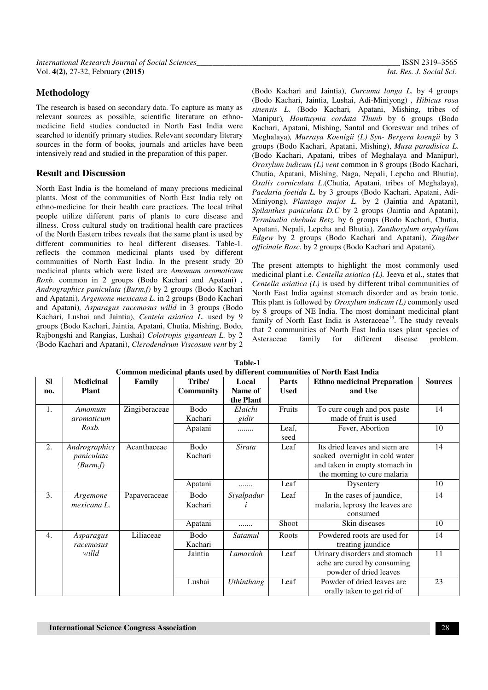## **Methodology**

The research is based on secondary data. To capture as many as relevant sources as possible, scientific literature on ethnomedicine field studies conducted in North East India were searched to identify primary studies. Relevant secondary literary sources in the form of books, journals and articles have been intensively read and studied in the preparation of this paper.

### **Result and Discussion**

North East India is the homeland of many precious medicinal plants. Most of the communities of North East India rely on ethno-medicine for their health care practices. The local tribal people utilize different parts of plants to cure disease and illness. Cross cultural study on traditional health care practices of the North Eastern tribes reveals that the same plant is used by different communities to heal different diseases. Table-1. reflects the common medicinal plants used by different communities of North East India. In the present study 20 medicinal plants which were listed are *Amomum aromaticum Roxb.* common in 2 groups (Bodo Kachari and Apatani) *, Andrographics paniculata (Burm.f)* by 2 groups (Bodo Kachari and Apatani)*, Argemone mexicana L.* in 2 groups (Bodo Kachari and Apatani)*, Asparagus racemosus willd* in 3 groups (Bodo Kachari, Lushai and Jaintia), *Centela asiatica L*. used by 9 groups (Bodo Kachari, Jaintia, Apatani, Chutia, Mishing, Bodo, Rajbongshi and Rangias, Lushai) *Colotropis gigantean L.* by 2 (Bodo Kachari and Apatani), *Clerodendrum Viscosum vent* by 2

(Bodo Kachari and Jaintia), *Curcuma longa L.* by 4 groups (Bodo Kachari, Jaintia, Lushai, Adi-Miniyong) *, Hibicus rosa sinensis L.* (Bodo Kachari*,* Apatani, Mishing, tribes of Manipur)*, Houttuynia cordata Thunb* by 6 groups (Bodo Kachari, Apatani, Mishing, Santal and Goreswar and tribes of Meghalaya)*, Murraya Koenigii (L) Syn- Bergera koengii* by 3 groups (Bodo Kachari, Apatani, Mishing), *Musa paradisica L.*  (Bodo Kachari, Apatani, tribes of Meghalaya and Manipur), *Oroxylum indicum (L) vent* common in 8 groups (Bodo Kachari, Chutia, Apatani, Mishing, Naga, Nepali, Lepcha and Bhutia), *Oxalis corniculata L*.(Chutia, Apatani, tribes of Meghalaya), *Paedaria foetida L.* by 3 groups (Bodo Kachari, Apatani, Adi-Miniyong), *Plantago major L.* by 2 (Jaintia and Apatani), *Spilanthes paniculata D.C* by 2 groups (Jaintia and Apatani), *Terminalia chebula Retz.* by 6 groups (Bodo Kachari, Chutia, Apatani, Nepali, Lepcha and Bhutia), *Zanthoxylum oxyphyllum Edgew* by 2 groups (Bodo Kachari and Apatani), *Zingiber officinale Rosc.* by 2 groups (Bodo Kachari and Apatani)*.*

The present attempts to highlight the most commonly used medicinal plant i.e. *Centella asiatica (L).* Jeeva et al., states that *Centella asiatica (L)* is used by different tribal communities of North East India against stomach disorder and as brain tonic. This plant is followed by *Oroxylum indicum (L)* commonly used by 8 groups of NE India. The most dominant medicinal plant family of North East India is Asteraceae<sup>13</sup>. The study reveals that 2 communities of North East India uses plant species of Asteraceae family for different disease problem.

| <b>SI</b>        | <b>Medicinal</b> | Family        | Tribe/           | Local      | <b>Parts</b> | <b>Ethno medicinal Preparation</b> | <b>Sources</b> |
|------------------|------------------|---------------|------------------|------------|--------------|------------------------------------|----------------|
| no.              | <b>Plant</b>     |               | <b>Community</b> | Name of    | <b>Used</b>  | and Use                            |                |
|                  |                  |               |                  | the Plant  |              |                                    |                |
| 1.               | Amomum           | Zingiberaceae | Bodo             | Elaichi    | Fruits       | To cure cough and pox paste        | 14             |
|                  | aromaticum       |               | Kachari          | gidir      |              | made of fruit is used              |                |
|                  | Roxb.            |               | Apatani          |            | Leaf,        | Fever, Abortion                    | 10             |
|                  |                  |               |                  |            | seed         |                                    |                |
| 2.               | Andrographics    | Acanthaceae   | <b>Bodo</b>      | Sirata     | Leaf         | Its dried leaves and stem are      | 14             |
|                  | paniculata       |               | Kachari          |            |              | soaked overnight in cold water     |                |
|                  | (Burm.f)         |               |                  |            |              | and taken in empty stomach in      |                |
|                  |                  |               |                  |            |              | the morning to cure malaria        |                |
|                  |                  |               | Apatani          | .          | Leaf         | Dysentery                          | 10             |
| 3.               | Argemone         | Papaveraceae  | Bodo             | Siyalpadur | Leaf         | In the cases of jaundice,          | 14             |
|                  | mexicana L.      |               | Kachari          |            |              | malaria, leprosy the leaves are    |                |
|                  |                  |               |                  |            |              | consumed                           |                |
|                  |                  |               | Apatani          | .          | Shoot        | Skin diseases                      | 10             |
| $\overline{4}$ . | Asparagus        | Liliaceae     | Bodo             | Satamul    | Roots        | Powdered roots are used for        | 14             |
|                  | racemosus        |               | Kachari          |            |              | treating jaundice                  |                |
|                  | willd            |               | Jaintia          | Lamardoh   | Leaf         | Urinary disorders and stomach      | 11             |
|                  |                  |               |                  |            |              | ache are cured by consuming        |                |
|                  |                  |               |                  |            |              | powder of dried leaves             |                |
|                  |                  |               | Lushai           | Uthinthang | Leaf         | Powder of dried leaves are         | 23             |
|                  |                  |               |                  |            |              | orally taken to get rid of         |                |

| -------                                                                   |  |
|---------------------------------------------------------------------------|--|
| Common medicinal plants used by different communities of North East India |  |

**Table-1**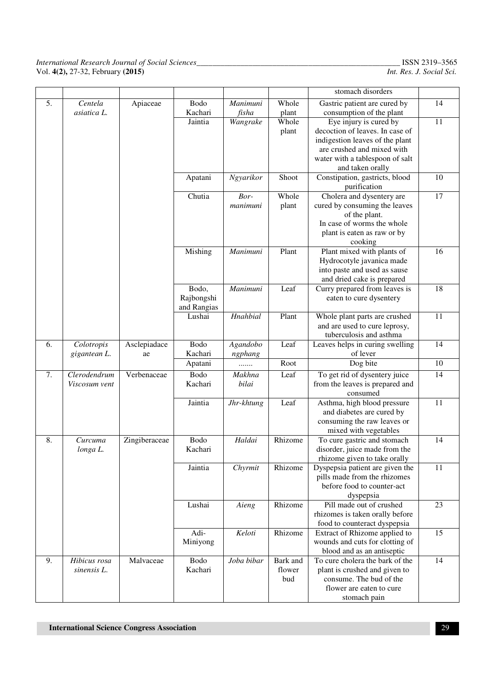| 5. | Centela       | Apiaceae      | Bodo        | Manimuni   | Whole    | Gastric patient are cured by                                  | 14              |
|----|---------------|---------------|-------------|------------|----------|---------------------------------------------------------------|-----------------|
|    | asiatica L.   |               | Kachari     | fisha      | plant    | consumption of the plant                                      |                 |
|    |               |               | Jaintia     | Wangrake   | Whole    | Eye injury is cured by                                        | 11              |
|    |               |               |             |            | plant    | decoction of leaves. In case of                               |                 |
|    |               |               |             |            |          | indigestion leaves of the plant                               |                 |
|    |               |               |             |            |          | are crushed and mixed with                                    |                 |
|    |               |               |             |            |          | water with a tablespoon of salt                               |                 |
|    |               |               |             |            |          | and taken orally                                              |                 |
|    |               |               | Apatani     | Ngyarikor  | Shoot    | Constipation, gastricts, blood<br>purification                | 10              |
|    |               |               | Chutia      | Bor-       | Whole    | Cholera and dysentery are                                     | $\overline{17}$ |
|    |               |               |             | manimuni   | plant    | cured by consuming the leaves                                 |                 |
|    |               |               |             |            |          | of the plant.                                                 |                 |
|    |               |               |             |            |          | In case of worms the whole                                    |                 |
|    |               |               |             |            |          | plant is eaten as raw or by                                   |                 |
|    |               |               |             |            |          | cooking                                                       |                 |
|    |               |               | Mishing     | Manimuni   | Plant    | Plant mixed with plants of                                    | 16              |
|    |               |               |             |            |          | Hydrocotyle javanica made                                     |                 |
|    |               |               |             |            |          | into paste and used as sause                                  |                 |
|    |               |               |             |            |          | and dried cake is prepared                                    |                 |
|    |               |               | Bodo,       | Manimuni   | Leaf     | Curry prepared from leaves is                                 | 18              |
|    |               |               | Rajbongshi  |            |          | eaten to cure dysentery                                       |                 |
|    |               |               | and Rangias |            |          |                                                               |                 |
|    |               |               | Lushai      | Hnahbial   | Plant    | Whole plant parts are crushed                                 | 11              |
|    |               |               |             |            |          | and are used to cure leprosy,                                 |                 |
|    |               |               |             |            |          | tuberculosis and asthma                                       |                 |
| 6. | Colotropis    | Asclepiadace  | Bodo        | Agandobo   | Leaf     | Leaves helps in curing swelling                               | 14              |
|    | gigantean L.  | ae            | Kachari     | ngphang    |          | of lever                                                      |                 |
|    |               |               | Apatani     | .          | Root     | Dog bite                                                      | 10              |
| 7. | Clerodendrum  | Verbenaceae   | Bodo        | Makhna     | Leaf     | To get rid of dysentery juice                                 | 14              |
|    | Viscosum vent |               | Kachari     | bilai      |          | from the leaves is prepared and                               |                 |
|    |               |               |             |            |          | consumed                                                      |                 |
|    |               |               | Jaintia     | Jhr-khtung | Leaf     | Asthma, high blood pressure                                   | 11              |
|    |               |               |             |            |          | and diabetes are cured by                                     |                 |
|    |               |               |             |            |          | consuming the raw leaves or                                   |                 |
|    |               |               |             |            |          | mixed with vegetables                                         |                 |
| 8. | Curcuma       | Zingiberaceae | Bodo        | Haldai     | Rhizome  | To cure gastric and stomach                                   | 14              |
|    | longa L.      |               | Kachari     |            |          | disorder, juice made from the                                 |                 |
|    |               |               |             |            |          | rhizome given to take orally                                  |                 |
|    |               |               | Jaintia     | Chyrmit    | Rhizome  | Dyspepsia patient are given the                               | 11              |
|    |               |               |             |            |          | pills made from the rhizomes                                  |                 |
|    |               |               |             |            |          | before food to counter-act                                    |                 |
|    |               |               |             |            | Rhizome  | dyspepsia                                                     |                 |
|    |               |               | Lushai      | Aieng      |          | Pill made out of crushed                                      | $\overline{23}$ |
|    |               |               |             |            |          | rhizomes is taken orally before                               |                 |
|    |               |               | Adi-        | Keloti     | Rhizome  | food to counteract dyspepsia                                  |                 |
|    |               |               |             |            |          | Extract of Rhizome applied to                                 | 15              |
|    |               |               | Miniyong    |            |          | wounds and cuts for clotting of                               |                 |
| 9. | Hibicus rosa  | Malvaceae     | Bodo        | Joba bibar | Bark and | blood and as an antiseptic<br>To cure cholera the bark of the | 14              |
|    | sinensis L.   |               | Kachari     |            | flower   | plant is crushed and given to                                 |                 |
|    |               |               |             |            | bud      | consume. The bud of the                                       |                 |
|    |               |               |             |            |          | flower are eaten to cure                                      |                 |
|    |               |               |             |            |          | stomach pain                                                  |                 |
|    |               |               |             |            |          |                                                               |                 |

stomach disorders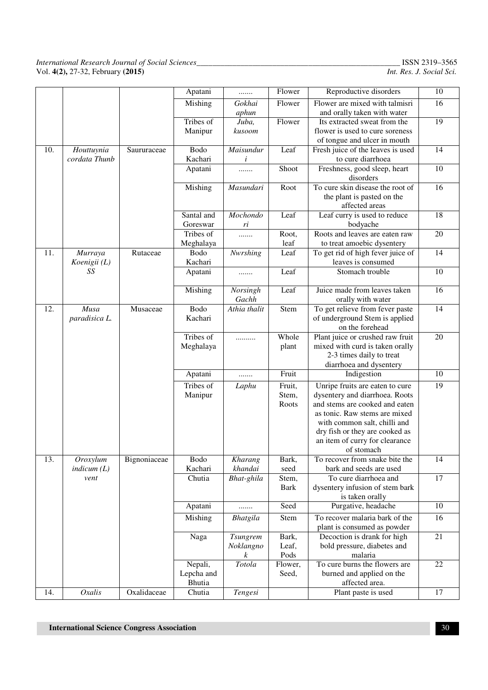|     |               |              | Apatani         | .                | Flower         | Reproductive disorders                                         | $10\,$          |
|-----|---------------|--------------|-----------------|------------------|----------------|----------------------------------------------------------------|-----------------|
|     |               |              | Mishing         | Gokhai           | Flower         | Flower are mixed with talmisri                                 | 16              |
|     |               |              |                 | aphun            |                | and orally taken with water                                    |                 |
|     |               |              | Tribes of       | Juba,            | Flower         | Its extracted sweat from the                                   | $\overline{19}$ |
|     |               |              | Manipur         | kusoom           |                | flower is used to cure soreness                                |                 |
|     |               |              |                 |                  |                | of tongue and ulcer in mouth                                   |                 |
| 10. | Houttuynia    | Saururaceae  | Bodo            | Maisundur        | Leaf           | Fresh juice of the leaves is used                              | 14              |
|     | cordata Thunb |              | Kachari         | i                |                | to cure diarrhoea                                              |                 |
|     |               |              | Apatani         | .                | Shoot          | Freshness, good sleep, heart                                   | $10\,$          |
|     |               |              |                 |                  |                | disorders                                                      |                 |
|     |               |              | Mishing         | Masundari        | Root           | To cure skin disease the root of                               | 16              |
|     |               |              |                 |                  |                | the plant is pasted on the                                     |                 |
|     |               |              |                 |                  |                | affected areas                                                 |                 |
|     |               |              | Santal and      | Mochondo         | Leaf           | Leaf curry is used to reduce                                   | 18              |
|     |               |              | Goreswar        | ri               |                | bodyache                                                       |                 |
|     |               |              | Tribes of       | .                | Root,          | Roots and leaves are eaten raw                                 | 20              |
|     |               |              | Meghalaya       |                  | leaf           | to treat amoebic dysentery                                     |                 |
| 11. | Murraya       | Rutaceae     | Bodo            | Nwrshing         | Leaf           | To get rid of high fever juice of                              | 14              |
|     | Koenigii (L)  |              | Kachari         |                  |                | leaves is consumed                                             |                 |
|     | SS            |              | Apatani         | .                | Leaf           | Stomach trouble                                                | $\overline{10}$ |
|     |               |              |                 |                  |                |                                                                |                 |
|     |               |              | Mishing         | Norsingh         | Leaf           | Juice made from leaves taken                                   | $\overline{16}$ |
|     |               |              |                 | Gachh            |                | orally with water                                              |                 |
| 12. | Musa          | Musaceae     | Bodo<br>Kachari | Athia thalit     | Stem           | To get relieve from fever paste                                | $\overline{14}$ |
|     | paradisica L. |              |                 |                  |                | of underground Stem is applied                                 |                 |
|     |               |              | Tribes of       |                  |                | on the forehead                                                |                 |
|     |               |              | Meghalaya       | .                | Whole<br>plant | Plant juice or crushed raw fruit                               | 20              |
|     |               |              |                 |                  |                | mixed with curd is taken orally<br>2-3 times daily to treat    |                 |
|     |               |              |                 |                  |                |                                                                |                 |
|     |               |              | Apatani         |                  | Fruit          | diarrhoea and dysentery<br>Indigestion                         | $\overline{10}$ |
|     |               |              |                 | .                |                |                                                                |                 |
|     |               |              | Tribes of       | Laphu            | Fruit,         | Unripe fruits are eaten to cure                                | 19              |
|     |               |              | Manipur         |                  | Stem,          | dysentery and diarrhoea. Roots                                 |                 |
|     |               |              |                 |                  | Roots          | and stems are cooked and eaten                                 |                 |
|     |               |              |                 |                  |                | as tonic. Raw stems are mixed                                  |                 |
|     |               |              |                 |                  |                | with common salt, chilli and<br>dry fish or they are cooked as |                 |
|     |               |              |                 |                  |                | an item of curry for clearance                                 |                 |
|     |               |              |                 |                  |                | of stomach                                                     |                 |
| 13. | Oroxylum      | Bignoniaceae | Bodo            | Kharang          | Bark,          | To recover from snake bite the                                 | 14              |
|     | indicum(L)    |              | Kachari         | khandai          | seed           | bark and seeds are used                                        |                 |
|     | vent          |              | Chutia          | Bhat-ghila       | Stem,          | To cure diarrhoea and                                          | 17              |
|     |               |              |                 |                  | <b>Bark</b>    | dysentery infusion of stem bark                                |                 |
|     |               |              |                 |                  |                | is taken orally                                                |                 |
|     |               |              | Apatani         | .                | Seed           | Purgative, headache                                            | 10              |
|     |               |              | Mishing         | Bhatgila         | Stem           | To recover malaria bark of the                                 | 16              |
|     |               |              |                 |                  |                | plant is consumed as powder                                    |                 |
|     |               |              | Naga            | <b>Tsungrem</b>  | Bark,          | Decoction is drank for high                                    | $21\,$          |
|     |               |              |                 | Noklangno        | Leaf,          | bold pressure, diabetes and                                    |                 |
|     |               |              |                 | $\boldsymbol{k}$ | Pods           | malaria                                                        |                 |
|     |               |              | Nepali,         | Totola           | Flower,        | To cure burns the flowers are                                  | 22              |
|     |               |              | Lepcha and      |                  | Seed,          | burned and applied on the                                      |                 |
|     |               |              | Bhutia          |                  |                | affected area.                                                 |                 |
| 14. | Oxalis        | Oxalidaceae  | Chutia          | Tengesi          |                | Plant paste is used                                            | 17              |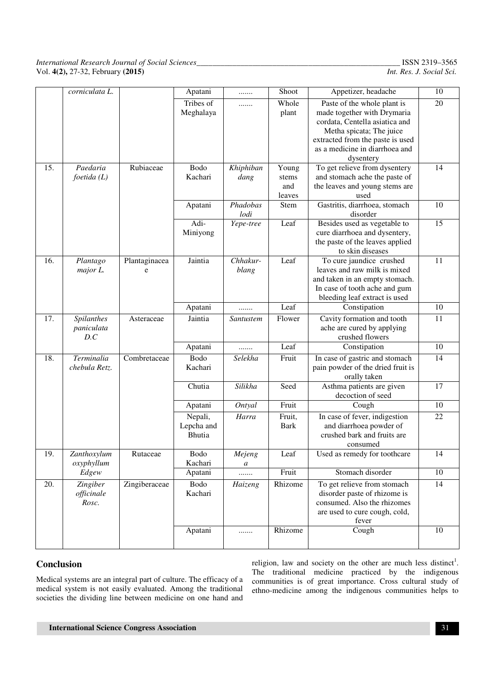|     | corniculata L.   |               | Apatani    | .         | Shoot       | Appetizer, headache               | 10     |
|-----|------------------|---------------|------------|-----------|-------------|-----------------------------------|--------|
|     |                  |               | Tribes of  | .         | Whole       | Paste of the whole plant is       | 20     |
|     |                  |               | Meghalaya  |           | plant       | made together with Drymaria       |        |
|     |                  |               |            |           |             | cordata, Centella asiatica and    |        |
|     |                  |               |            |           |             | Metha spicata; The juice          |        |
|     |                  |               |            |           |             | extracted from the paste is used  |        |
|     |                  |               |            |           |             | as a medicine in diarrhoea and    |        |
|     |                  |               |            |           |             | dysentery                         |        |
| 15. | Paedaria         | Rubiaceae     | Bodo       | Khiphiban | Young       | To get relieve from dysentery     | 14     |
|     | $f$ oetida $(L)$ |               | Kachari    | dang      | stems       | and stomach ache the paste of     |        |
|     |                  |               |            |           | and         | the leaves and young stems are    |        |
|     |                  |               |            |           | leaves      | used                              |        |
|     |                  |               | Apatani    | Phadobas  | Stem        | Gastritis, diarrhoea, stomach     | 10     |
|     |                  |               |            | lodi      |             | disorder                          |        |
|     |                  |               | Adi-       | Yepe-tree | Leaf        | Besides used as vegetable to      | 15     |
|     |                  |               | Miniyong   |           |             | cure diarrhoea and dysentery,     |        |
|     |                  |               |            |           |             | the paste of the leaves applied   |        |
|     |                  |               |            |           |             | to skin diseases                  |        |
| 16. | Plantago         | Plantaginacea | Jaintia    | Chhakur-  | Leaf        | To cure jaundice crushed          | 11     |
|     | major L.         | e             |            | blang     |             | leaves and raw milk is mixed      |        |
|     |                  |               |            |           |             | and taken in an empty stomach.    |        |
|     |                  |               |            |           |             | In case of tooth ache and gum     |        |
|     |                  |               |            |           |             | bleeding leaf extract is used     |        |
|     |                  |               | Apatani    | .         | Leaf        | Constipation                      | 10     |
| 17. | Spilanthes       | Asteraceae    | Jaintia    | Santustem | Flower      | Cavity formation and tooth        | 11     |
|     | paniculata       |               |            |           |             | ache are cured by applying        |        |
|     | D.C              |               |            |           |             | crushed flowers                   |        |
|     |                  |               | Apatani    | .         | Leaf        | Constipation                      | $10\,$ |
| 18. | Terminalia       | Combretaceae  | Bodo       | Selekha   | Fruit       | In case of gastric and stomach    | 14     |
|     | chebula Retz.    |               | Kachari    |           |             | pain powder of the dried fruit is |        |
|     |                  |               |            |           |             | orally taken                      |        |
|     |                  |               | Chutia     | Silikha   | Seed        | Asthma patients are given         | 17     |
|     |                  |               |            |           |             | decoction of seed                 |        |
|     |                  |               | Apatani    | Ontyal    | Fruit       | Cough                             | 10     |
|     |                  |               | Nepali,    | Harra     | Fruit,      | In case of fever, indigestion     | 22     |
|     |                  |               | Lepcha and |           | <b>Bark</b> | and diarrhoea powder of           |        |
|     |                  |               | Bhutia     |           |             | crushed bark and fruits are       |        |
|     |                  |               |            |           |             | consumed                          |        |
| 19. | Zanthoxylum      | Rutaceae      | Bodo       | Mejeng    | Leaf        | Used as remedy for toothcare      | 14     |
|     | oxyphyllum       |               | Kachari    | a         |             |                                   |        |
|     | Edgew            |               | Apatani    | .         | Fruit       | Stomach disorder                  | 10     |
| 20. | Zingiber         | Zingiberaceae | Bodo       | Haizeng   | Rhizome     | To get relieve from stomach       | 14     |
|     | officinale       |               | Kachari    |           |             | disorder paste of rhizome is      |        |
|     | Rosc.            |               |            |           |             | consumed. Also the rhizomes       |        |
|     |                  |               |            |           |             | are used to cure cough, cold,     |        |
|     |                  |               |            |           |             | fever                             |        |
|     |                  |               | Apatani    | .         | Rhizome     | Cough                             | 10     |
|     |                  |               |            |           |             |                                   |        |

#### **Conclusion**

Medical systems are an integral part of culture. The efficacy of a medical system is not easily evaluated. Among the traditional societies the dividing line between medicine on one hand and

religion, law and society on the other are much less distinct<sup>1</sup>. The traditional medicine practiced by the indigenous communities is of great importance. Cross cultural study of ethno-medicine among the indigenous communities helps to